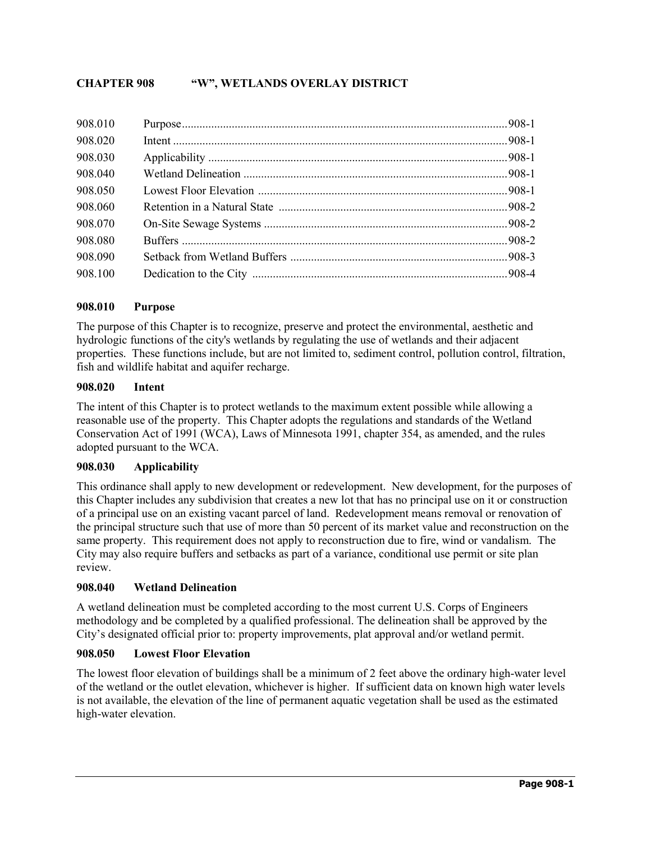# **CHAPTER 908 "W", WETLANDS OVERLAY DISTRICT**

# **908.010 Purpose**

The purpose of this Chapter is to recognize, preserve and protect the environmental, aesthetic and hydrologic functions of the city's wetlands by regulating the use of wetlands and their adjacent properties. These functions include, but are not limited to, sediment control, pollution control, filtration, fish and wildlife habitat and aquifer recharge.

#### **908.020 Intent**

The intent of this Chapter is to protect wetlands to the maximum extent possible while allowing a reasonable use of the property. This Chapter adopts the regulations and standards of the Wetland Conservation Act of 1991 (WCA), Laws of Minnesota 1991, chapter 354, as amended, and the rules adopted pursuant to the WCA.

#### **908.030 Applicability**

This ordinance shall apply to new development or redevelopment. New development, for the purposes of this Chapter includes any subdivision that creates a new lot that has no principal use on it or construction of a principal use on an existing vacant parcel of land. Redevelopment means removal or renovation of the principal structure such that use of more than 50 percent of its market value and reconstruction on the same property. This requirement does not apply to reconstruction due to fire, wind or vandalism. The City may also require buffers and setbacks as part of a variance, conditional use permit or site plan review.

# **908.040 Wetland Delineation**

A wetland delineation must be completed according to the most current U.S. Corps of Engineers methodology and be completed by a qualified professional. The delineation shall be approved by the City's designated official prior to: property improvements, plat approval and/or wetland permit.

#### **908.050 Lowest Floor Elevation**

The lowest floor elevation of buildings shall be a minimum of 2 feet above the ordinary high-water level of the wetland or the outlet elevation, whichever is higher. If sufficient data on known high water levels is not available, the elevation of the line of permanent aquatic vegetation shall be used as the estimated high-water elevation.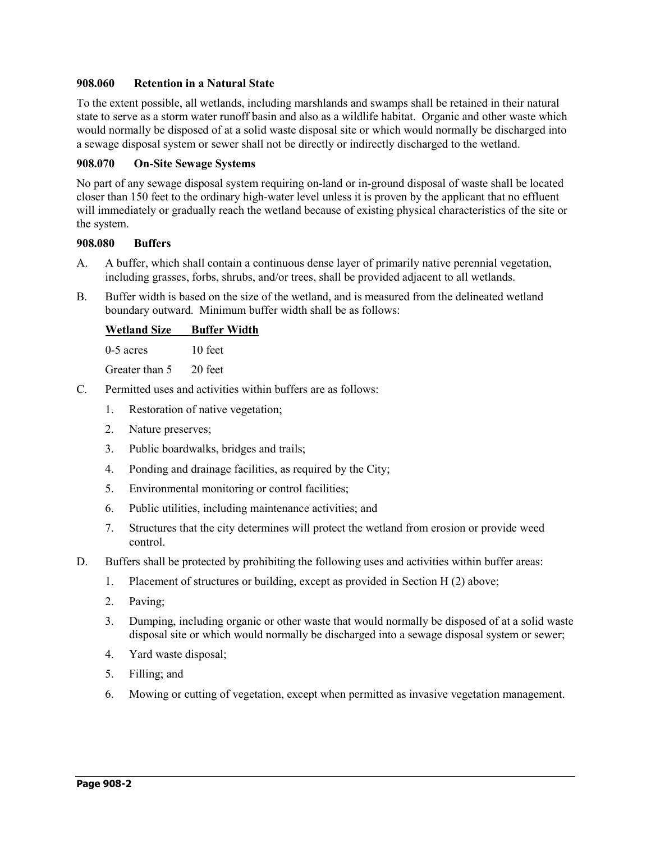# **908.060 Retention in a Natural State**

To the extent possible, all wetlands, including marshlands and swamps shall be retained in their natural state to serve as a storm water runoff basin and also as a wildlife habitat. Organic and other waste which would normally be disposed of at a solid waste disposal site or which would normally be discharged into a sewage disposal system or sewer shall not be directly or indirectly discharged to the wetland.

# **908.070 On-Site Sewage Systems**

No part of any sewage disposal system requiring on-land or in-ground disposal of waste shall be located closer than 150 feet to the ordinary high-water level unless it is proven by the applicant that no effluent will immediately or gradually reach the wetland because of existing physical characteristics of the site or the system.

# **908.080 Buffers**

- A. A buffer, which shall contain a continuous dense layer of primarily native perennial vegetation, including grasses, forbs, shrubs, and/or trees, shall be provided adjacent to all wetlands.
- B. Buffer width is based on the size of the wetland, and is measured from the delineated wetland boundary outward. Minimum buffer width shall be as follows:

# **Wetland Size Buffer Width**

0-5 acres 10 feet

Greater than 5 20 feet

- C. Permitted uses and activities within buffers are as follows:
	- 1. Restoration of native vegetation;
	- 2. Nature preserves;
	- 3. Public boardwalks, bridges and trails;
	- 4. Ponding and drainage facilities, as required by the City;
	- 5. Environmental monitoring or control facilities;
	- 6. Public utilities, including maintenance activities; and
	- 7. Structures that the city determines will protect the wetland from erosion or provide weed control.
- D. Buffers shall be protected by prohibiting the following uses and activities within buffer areas:
	- 1. Placement of structures or building, except as provided in Section H (2) above;
	- 2. Paving;
	- 3. Dumping, including organic or other waste that would normally be disposed of at a solid waste disposal site or which would normally be discharged into a sewage disposal system or sewer;
	- 4. Yard waste disposal;
	- 5. Filling; and
	- 6. Mowing or cutting of vegetation, except when permitted as invasive vegetation management.